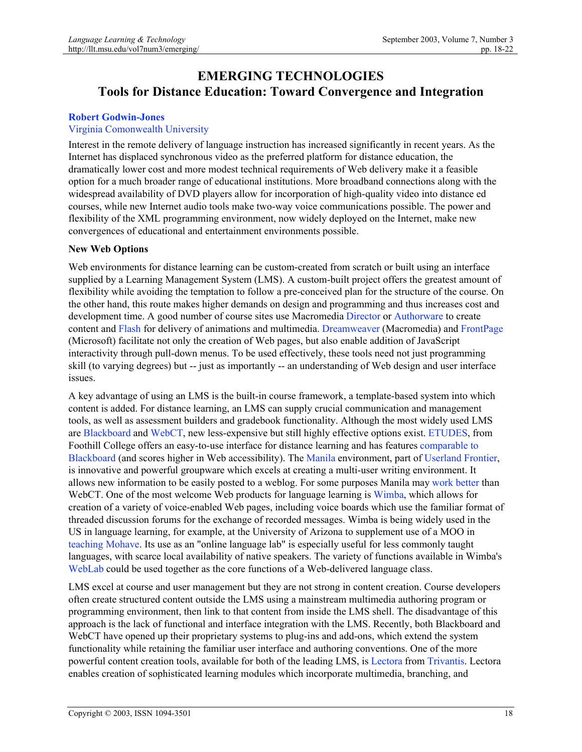# **EMERGING TECHNOLOGIES Tools for Distance Education: Toward Convergence and Integration**

# **Robert Godwin-Jones**

# Virginia Comonwealth University

Interest in the remote delivery of language instruction has increased significantly in recent years. As the Internet has displaced synchronous video as the preferred platform for distance education, the dramatically lower cost and more modest technical requirements of Web delivery make it a feasible option for a much broader range of educational institutions. More broadband connections along with the widespread availability of DVD players allow for incorporation of high-quality video into distance ed courses, while new Internet audio tools make two-way voice communications possible. The power and flexibility of the XML programming environment, now widely deployed on the Internet, make new convergences of educational and entertainment environments possible.

### **New Web Options**

Web environments for distance learning can be custom-created from scratch or built using an interface supplied by a Learning Management System (LMS). A custom-built project offers the greatest amount of flexibility while avoiding the temptation to follow a pre-conceived plan for the structure of the course. On the other hand, this route makes higher demands on design and programming and thus increases cost and development time. A good number of course sites use Macromedia Director or Authorware to create content and Flash for delivery of animations and multimedia. Dreamweaver (Macromedia) and FrontPage (Microsoft) facilitate not only the creation of Web pages, but also enable addition of JavaScript interactivity through pull-down menus. To be used effectively, these tools need not just programming skill (to varying degrees) but -- just as importantly -- an understanding of Web design and user interface issues.

A key advantage of using an LMS is the built-in course framework, a template-based system into which content is added. For distance learning, an LMS can supply crucial communication and management tools, as well as assessment builders and gradebook functionality. Although the most widely used LMS are Blackboard and WebCT, new less-expensive but still highly effective options exist. ETUDES, from Foothill College offers an easy-to-use interface for distance learning and has features comparable to Blackboard (and scores higher in Web accessibility). The Manila environment, part of Userland Frontier, is innovative and powerful groupware which excels at creating a multi-user writing environment. It allows new information to be easily posted to a weblog. For some purposes Manila may work better than WebCT. One of the most welcome Web products for language learning is Wimba, which allows for creation of a variety of voice-enabled Web pages, including voice boards which use the familiar format of threaded discussion forums for the exchange of recorded messages. Wimba is being widely used in the US in language learning, for example, at the University of Arizona to supplement use of a MOO in teaching Mohave. Its use as an "online language lab" is especially useful for less commonly taught languages, with scarce local availability of native speakers. The variety of functions available in Wimba's WebLab could be used together as the core functions of a Web-delivered language class.

LMS excel at course and user management but they are not strong in content creation. Course developers often create structured content outside the LMS using a mainstream multimedia authoring program or programming environment, then link to that content from inside the LMS shell. The disadvantage of this approach is the lack of functional and interface integration with the LMS. Recently, both Blackboard and WebCT have opened up their proprietary systems to plug-ins and add-ons, which extend the system functionality while retaining the familiar user interface and authoring conventions. One of the more powerful content creation tools, available for both of the leading LMS, is Lectora from Trivantis. Lectora enables creation of sophisticated learning modules which incorporate multimedia, branching, and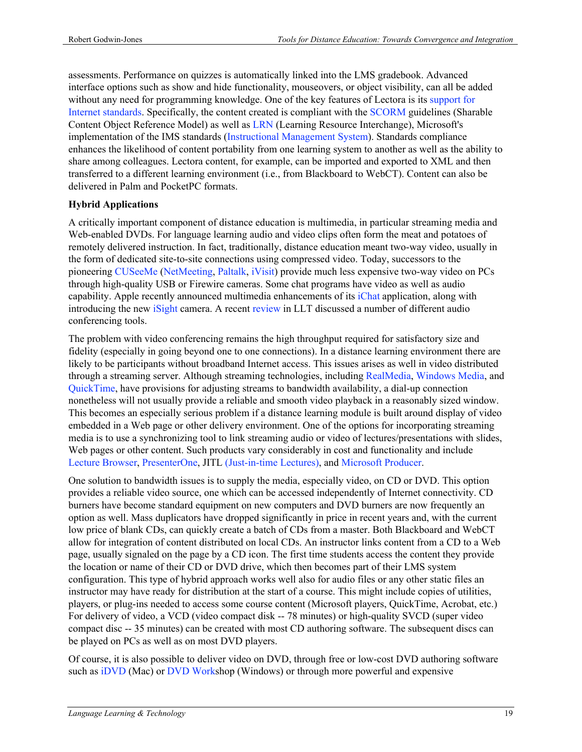assessments. Performance on quizzes is automatically linked into the LMS gradebook. Advanced interface options such as show and hide functionality, mouseovers, or object visibility, can all be added without any need for programming knowledge. One of the key features of Lectora is its support for Internet standards. Specifically, the content created is compliant with the SCORM guidelines (Sharable Content Object Reference Model) as well as LRN (Learning Resource Interchange), Microsoft's implementation of the IMS standards (Instructional Management System). Standards compliance enhances the likelihood of content portability from one learning system to another as well as the ability to share among colleagues. Lectora content, for example, can be imported and exported to XML and then transferred to a different learning environment (i.e., from Blackboard to WebCT). Content can also be delivered in Palm and PocketPC formats.

# **Hybrid Applications**

A critically important component of distance education is multimedia, in particular streaming media and Web-enabled DVDs. For language learning audio and video clips often form the meat and potatoes of remotely delivered instruction. In fact, traditionally, distance education meant two-way video, usually in the form of dedicated site-to-site connections using compressed video. Today, successors to the pioneering CUSeeMe (NetMeeting, Paltalk, iVisit) provide much less expensive two-way video on PCs through high-quality USB or Firewire cameras. Some chat programs have video as well as audio capability. Apple recently announced multimedia enhancements of its iChat application, along with introducing the new iSight camera. A recent review in LLT discussed a number of different audio conferencing tools.

The problem with video conferencing remains the high throughput required for satisfactory size and fidelity (especially in going beyond one to one connections). In a distance learning environment there are likely to be participants without broadband Internet access. This issues arises as well in video distributed through a streaming server. Although streaming technologies, including RealMedia, Windows Media, and QuickTime, have provisions for adjusting streams to bandwidth availability, a dial-up connection nonetheless will not usually provide a reliable and smooth video playback in a reasonably sized window. This becomes an especially serious problem if a distance learning module is built around display of video embedded in a Web page or other delivery environment. One of the options for incorporating streaming media is to use a synchronizing tool to link streaming audio or video of lectures/presentations with slides, Web pages or other content. Such products vary considerably in cost and functionality and include Lecture Browser, PresenterOne, JITL (Just-in-time Lectures), and Microsoft Producer.

One solution to bandwidth issues is to supply the media, especially video, on CD or DVD. This option provides a reliable video source, one which can be accessed independently of Internet connectivity. CD burners have become standard equipment on new computers and DVD burners are now frequently an option as well. Mass duplicators have dropped significantly in price in recent years and, with the current low price of blank CDs, can quickly create a batch of CDs from a master. Both Blackboard and WebCT allow for integration of content distributed on local CDs. An instructor links content from a CD to a Web page, usually signaled on the page by a CD icon. The first time students access the content they provide the location or name of their CD or DVD drive, which then becomes part of their LMS system configuration. This type of hybrid approach works well also for audio files or any other static files an instructor may have ready for distribution at the start of a course. This might include copies of utilities, players, or plug-ins needed to access some course content (Microsoft players, QuickTime, Acrobat, etc.) For delivery of video, a VCD (video compact disk -- 78 minutes) or high-quality SVCD (super video compact disc -- 35 minutes) can be created with most CD authoring software. The subsequent discs can be played on PCs as well as on most DVD players.

Of course, it is also possible to deliver video on DVD, through free or low-cost DVD authoring software such as iDVD (Mac) or DVD Workshop (Windows) or through more powerful and expensive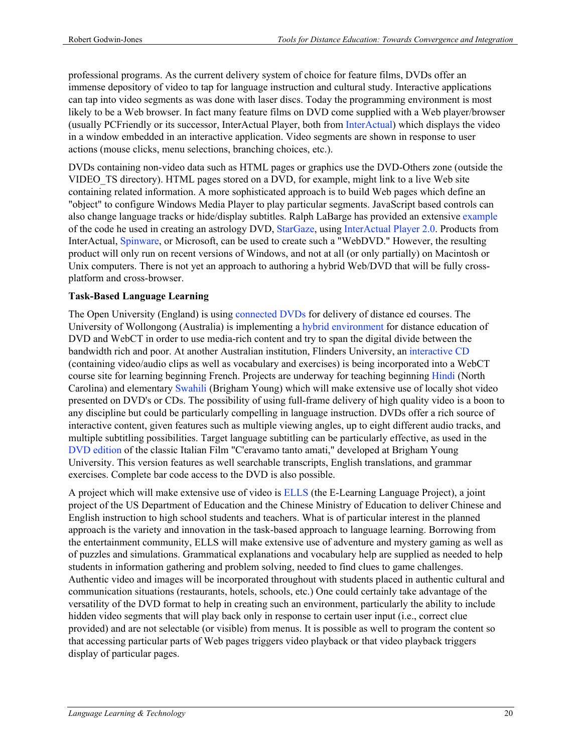professional programs. As the current delivery system of choice for feature films, DVDs offer an immense depository of video to tap for language instruction and cultural study. Interactive applications can tap into video segments as was done with laser discs. Today the programming environment is most likely to be a Web browser. In fact many feature films on DVD come supplied with a Web player/browser (usually PCFriendly or its successor, InterActual Player, both from InterActual) which displays the video in a window embedded in an interactive application. Video segments are shown in response to user actions (mouse clicks, menu selections, branching choices, etc.).

DVDs containing non-video data such as HTML pages or graphics use the DVD-Others zone (outside the VIDEO\_TS directory). HTML pages stored on a DVD, for example, might link to a live Web site containing related information. A more sophisticated approach is to build Web pages which define an "object" to configure Windows Media Player to play particular segments. JavaScript based controls can also change language tracks or hide/display subtitles. Ralph LaBarge has provided an extensive example of the code he used in creating an astrology DVD, StarGaze, using InterActual Player 2.0. Products from InterActual, Spinware, or Microsoft, can be used to create such a "WebDVD." However, the resulting product will only run on recent versions of Windows, and not at all (or only partially) on Macintosh or Unix computers. There is not yet an approach to authoring a hybrid Web/DVD that will be fully crossplatform and cross-browser.

# **Task-Based Language Learning**

The Open University (England) is using connected DVDs for delivery of distance ed courses. The University of Wollongong (Australia) is implementing a hybrid environment for distance education of DVD and WebCT in order to use media-rich content and try to span the digital divide between the bandwidth rich and poor. At another Australian institution, Flinders University, an interactive CD (containing video/audio clips as well as vocabulary and exercises) is being incorporated into a WebCT course site for learning beginning French. Projects are underway for teaching beginning Hindi (North Carolina) and elementary Swahili (Brigham Young) which will make extensive use of locally shot video presented on DVD's or CDs. The possibility of using full-frame delivery of high quality video is a boon to any discipline but could be particularly compelling in language instruction. DVDs offer a rich source of interactive content, given features such as multiple viewing angles, up to eight different audio tracks, and multiple subtitling possibilities. Target language subtitling can be particularly effective, as used in the DVD edition of the classic Italian Film "C'eravamo tanto amati," developed at Brigham Young University. This version features as well searchable transcripts, English translations, and grammar exercises. Complete bar code access to the DVD is also possible.

A project which will make extensive use of video is ELLS (the E-Learning Language Project), a joint project of the US Department of Education and the Chinese Ministry of Education to deliver Chinese and English instruction to high school students and teachers. What is of particular interest in the planned approach is the variety and innovation in the task-based approach to language learning. Borrowing from the entertainment community, ELLS will make extensive use of adventure and mystery gaming as well as of puzzles and simulations. Grammatical explanations and vocabulary help are supplied as needed to help students in information gathering and problem solving, needed to find clues to game challenges. Authentic video and images will be incorporated throughout with students placed in authentic cultural and communication situations (restaurants, hotels, schools, etc.) One could certainly take advantage of the versatility of the DVD format to help in creating such an environment, particularly the ability to include hidden video segments that will play back only in response to certain user input (i.e., correct clue provided) and are not selectable (or visible) from menus. It is possible as well to program the content so that accessing particular parts of Web pages triggers video playback or that video playback triggers display of particular pages.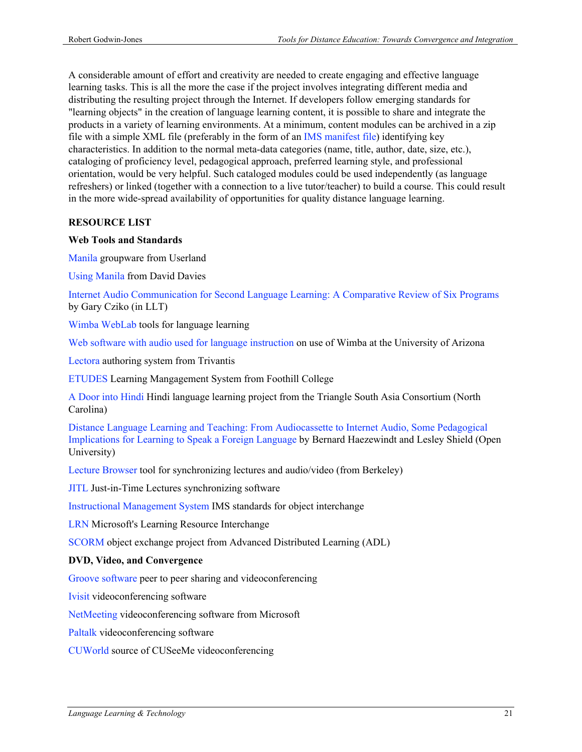A considerable amount of effort and creativity are needed to create engaging and effective language learning tasks. This is all the more the case if the project involves integrating different media and distributing the resulting project through the Internet. If developers follow emerging standards for "learning objects" in the creation of language learning content, it is possible to share and integrate the products in a variety of learning environments. At a minimum, content modules can be archived in a zip file with a simple XML file (preferably in the form of an IMS manifest file) identifying key characteristics. In addition to the normal meta-data categories (name, title, author, date, size, etc.), cataloging of proficiency level, pedagogical approach, preferred learning style, and professional orientation, would be very helpful. Such cataloged modules could be used independently (as language refreshers) or linked (together with a connection to a live tutor/teacher) to build a course. This could result in the more wide-spread availability of opportunities for quality distance language learning.

### **RESOURCE LIST**

### **Web Tools and Standards**

Manila groupware from Userland

Using Manila from David Davies

Internet Audio Communication for Second Language Learning: A Comparative Review of Six Programs by Gary Cziko (in LLT)

Wimba WebLab tools for language learning

Web software with audio used for language instruction on use of Wimba at the University of Arizona

Lectora authoring system from Trivantis

ETUDES Learning Mangagement System from Foothill College

A Door into Hindi Hindi language learning project from the Triangle South Asia Consortium (North Carolina)

Distance Language Learning and Teaching: From Audiocassette to Internet Audio, Some Pedagogical Implications for Learning to Speak a Foreign Language by Bernard Haezewindt and Lesley Shield (Open University)

Lecture Browser tool for synchronizing lectures and audio/video (from Berkeley)

JITL Just-in-Time Lectures synchronizing software

Instructional Management System IMS standards for object interchange

LRN Microsoft's Learning Resource Interchange

SCORM object exchange project from Advanced Distributed Learning (ADL)

### **DVD, Video, and Convergence**

Groove software peer to peer sharing and videoconferencing

Ivisit videoconferencing software

NetMeeting videoconferencing software from Microsoft

Paltalk videoconferencing software

CUWorld source of CUSeeMe videoconferencing